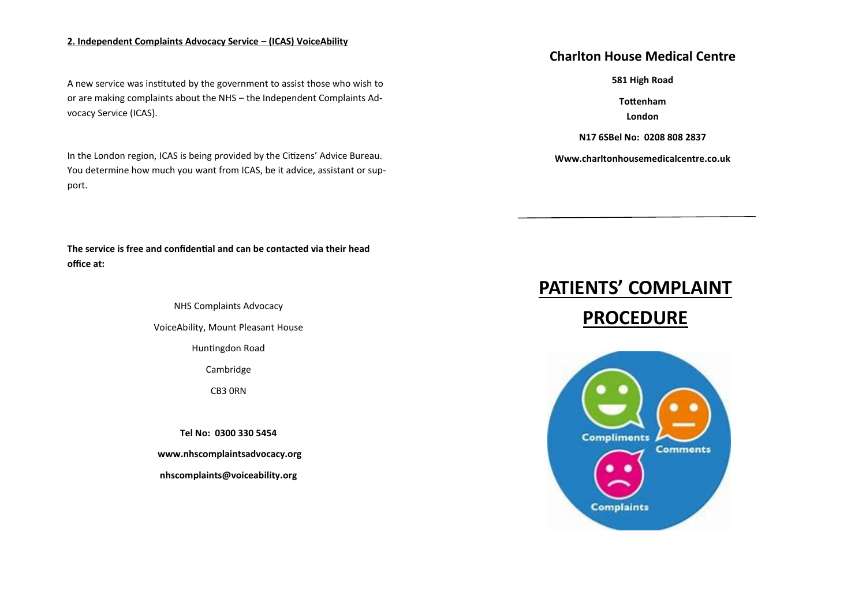### **2. Independent Complaints Advocacy Service – (ICAS) VoiceAbility**

A new service was instituted by the government to assist those who wish to or are making complaints about the NHS – the Independent Complaints Advocacy Service (ICAS).

 port. In the London region, ICAS is being provided by the Citizens' Advice Bureau. You determine how much you want from ICAS, be it advice, assistant or sup-

**The service is free and confidential and can be contacted via their head office at:** 

NHS Complaints Advocacy

VoiceAbility, Mount Pleasant House

Huntingdon Road

Cambridge

CB3 0RN

**Tel No: 0300 330 5454** 

**www.nhscomplaintsadvocacy.org**

**nhscomplaints@voiceability.org**

## **Charlton House Medical Centre**

**581 High Road**

**Tottenham London**

**N17 6SBel No: 0208 808 2837**

**Www.charltonhousemedicalcentre.co.uk** 

# **PATIENTS' COMPLAINT PROCEDURE**